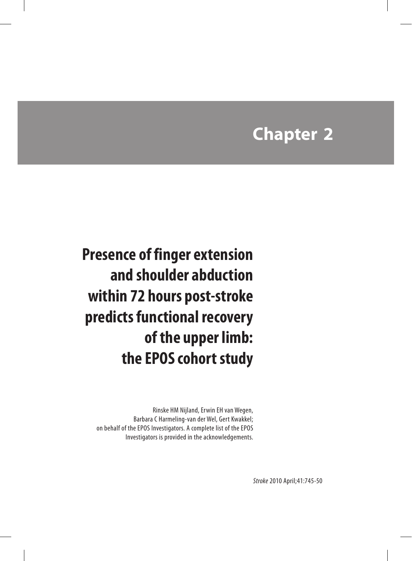# **Chapter 2**

**Presence of finger extension and shoulder abduction within 72 hours post-stroke predicts functional recovery of the upper limb: the EPOS cohort study**

Rinske HM Nijland, Erwin EH van Wegen, Barbara C Harmeling-van der Wel, Gert Kwakkel; on behalf of the EPOS Investigators. A complete list of the EPOS Investigators is provided in the acknowledgements.

*Stroke* 2010 April;41:745-50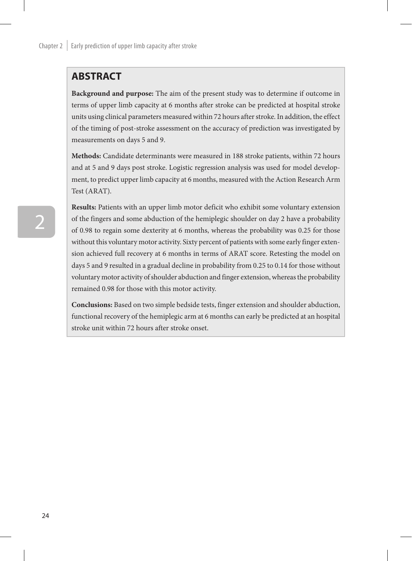# **ABSTRACT**

**Background and purpose:** The aim of the present study was to determine if outcome in terms of upper limb capacity at 6 months after stroke can be predicted at hospital stroke units using clinical parameters measured within 72 hours after stroke. In addition, the effect of the timing of post-stroke assessment on the accuracy of prediction was investigated by measurements on days 5 and 9.

**Methods:** Candidate determinants were measured in 188 stroke patients, within 72 hours and at 5 and 9 days post stroke. Logistic regression analysis was used for model development, to predict upper limb capacity at 6 months, measured with the Action Research Arm Test (ARAT).

**Results:** Patients with an upper limb motor deficit who exhibit some voluntary extension of the fingers and some abduction of the hemiplegic shoulder on day 2 have a probability of 0.98 to regain some dexterity at 6 months, whereas the probability was 0.25 for those without this voluntary motor activity. Sixty percent of patients with some early finger extension achieved full recovery at 6 months in terms of ARAT score. Retesting the model on days 5 and 9 resulted in a gradual decline in probability from 0.25 to 0.14 for those without voluntary motor activity of shoulder abduction and finger extension, whereas the probability remained 0.98 for those with this motor activity.

**Conclusions:** Based on two simple bedside tests, finger extension and shoulder abduction, functional recovery of the hemiplegic arm at 6 months can early be predicted at an hospital stroke unit within 72 hours after stroke onset.

2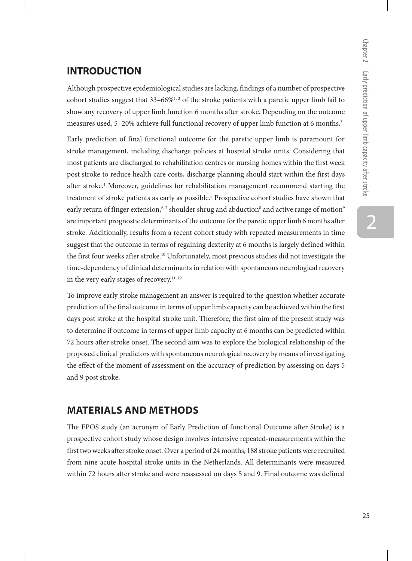# **INTRODUCTION**

Although prospective epidemiological studies are lacking, findings of a number of prospective cohort studies suggest that  $33-66\%^{1,2}$  of the stroke patients with a paretic upper limb fail to show any recovery of upper limb function 6 months after stroke. Depending on the outcome measures used, 5-20% achieve full functional recovery of upper limb function at 6 months.<sup>3</sup>

Early prediction of final functional outcome for the paretic upper limb is paramount for stroke management, including discharge policies at hospital stroke units. Considering that most patients are discharged to rehabilitation centres or nursing homes within the first week post stroke to reduce health care costs, discharge planning should start within the first days after stroke.4 Moreover, guidelines for rehabilitation management recommend starting the treatment of stroke patients as early as possible.<sup>5</sup> Prospective cohort studies have shown that early return of finger extension, $\epsilon,^7$  shoulder shrug and abduction $^8$  and active range of motion $^9$ are important prognostic determinants of the outcome for the paretic upper limb 6 months after stroke. Additionally, results from a recent cohort study with repeated measurements in time suggest that the outcome in terms of regaining dexterity at 6 months is largely defined within the first four weeks after stroke.<sup>10</sup> Unfortunately, most previous studies did not investigate the time-dependency of clinical determinants in relation with spontaneous neurological recovery in the very early stages of recovery.<sup>11, 12</sup>

To improve early stroke management an answer is required to the question whether accurate prediction of the final outcome in terms of upper limb capacity can be achieved within the first days post stroke at the hospital stroke unit. Therefore, the first aim of the present study was to determine if outcome in terms of upper limb capacity at 6 months can be predicted within 72 hours after stroke onset. The second aim was to explore the biological relationship of the proposed clinical predictors with spontaneous neurological recovery by means of investigating the effect of the moment of assessment on the accuracy of prediction by assessing on days 5 and 9 post stroke.

# **Materials and methods**

The EPOS study (an acronym of Early Prediction of functional Outcome after Stroke) is a prospective cohort study whose design involves intensive repeated-measurements within the first two weeks after stroke onset. Over a period of 24 months, 188 stroke patients were recruited from nine acute hospital stroke units in the Netherlands. All determinants were measured within 72 hours after stroke and were reassessed on days 5 and 9. Final outcome was defined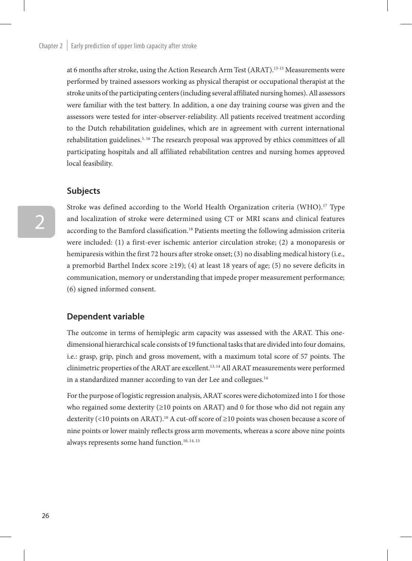at 6 months after stroke, using the Action Research Arm Test (ARAT).13-15 Measurements were performed by trained assessors working as physical therapist or occupational therapist at the stroke units of the participating centers (including several affiliated nursing homes). All assessors were familiar with the test battery. In addition, a one day training course was given and the assessors were tested for inter-observer-reliability. All patients received treatment according to the Dutch rehabilitation guidelines, which are in agreement with current international rehabilitation guidelines.<sup>5, 16</sup> The research proposal was approved by ethics committees of all participating hospitals and all affiliated rehabilitation centres and nursing homes approved local feasibility.

### **Subjects**

Stroke was defined according to the World Health Organization criteria (WHO).<sup>17</sup> Type and localization of stroke were determined using CT or MRI scans and clinical features according to the Bamford classification.18 Patients meeting the following admission criteria were included: (1) a first-ever ischemic anterior circulation stroke; (2) a monoparesis or hemiparesis within the first 72 hours after stroke onset; (3) no disabling medical history (i.e., a premorbid Barthel Index score  $\geq$ 19); (4) at least 18 years of age; (5) no severe deficits in communication, memory or understanding that impede proper measurement performance; (6) signed informed consent.

#### **Dependent variable**

The outcome in terms of hemiplegic arm capacity was assessed with the ARAT. This onedimensional hierarchical scale consists of 19 functional tasks that are divided into four domains, i.e.: grasp, grip, pinch and gross movement, with a maximum total score of 57 points. The clinimetric properties of the ARAT are excellent.13, 14 All ARAT measurements were performed in a standardized manner according to van der Lee and collegues.<sup>14</sup>

For the purpose of logistic regression analysis, ARAT scores were dichotomized into 1 for those who regained some dexterity  $(\geq 10 \text{ points on ARAT})$  and 0 for those who did not regain any dexterity (<10 points on ARAT).<sup>10</sup> A cut-off score of ≥10 points was chosen because a score of nine points or lower mainly reflects gross arm movements, whereas a score above nine points always represents some hand function.<sup>10, 14, 15</sup>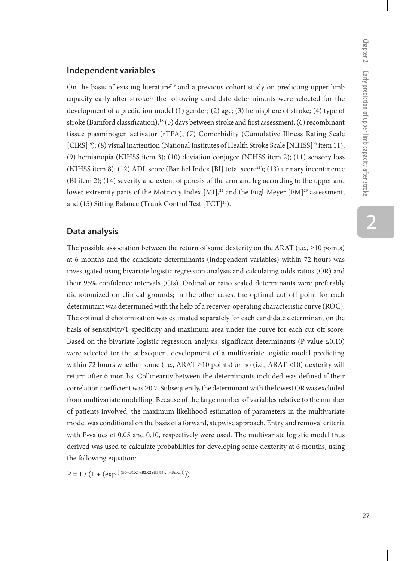### **Independent variables**

On the basis of existing literature<sup>7-9</sup> and a previous cohort study on predicting upper limb capacity early after stroke<sup>10</sup> the following candidate determinants were selected for the development of a prediction model (1) gender; (2) age; (3) hemisphere of stroke; (4) type of stroke (Bamford classification);<sup>18</sup> (5) days between stroke and first assessment; (6) recombinant tissue plasminogen activator (rTPA); (7) Comorbidity (Cumulative Illness Rating Scale [CIRS]<sup>19</sup>); (8) visual inattention (National Institutes of Health Stroke Scale [NIHSS]<sup>20</sup> item 11); (9) hemianopia (NIHSS item 3); (10) deviation conjugee (NIHSS item 2); (11) sensory loss (NIHSS item 8); (12) ADL score (Barthel Index [BI] total score<sup>21</sup>); (13) urinary incontinence (BI item 2); (14) severity and extent of paresis of the arm and leg according to the upper and lower extremity parts of the Motricity Index  $[MI]$ ,<sup>22</sup> and the Fugl-Meyer  $[FM]$ <sup>23</sup> assessment; and (15) Sitting Balance (Trunk Control Test [TCT]<sup>24</sup>).

#### **Data analysis**

The possible association between the return of some dexterity on the ARAT (i.e.,  $\geq$ 10 points) at 6 months and the candidate determinants (independent variables) within 72 hours was investigated using bivariate logistic regression analysis and calculating odds ratios (OR) and their 95% confidence intervals (CIs). Ordinal or ratio scaled determinants were preferably dichotomized on clinical grounds; in the other cases, the optimal cut-off point for each determinant was determined with the help of a receiver-operating characteristic curve (ROC). The optimal dichotomization was estimated separately for each candidate determinant on the basis of sensitivity/1-specificity and maximum area under the curve for each cut-off score. Based on the bivariate logistic regression analysis, significant determinants (P-value  $\leq 0.10$ ) were selected for the subsequent development of a multivariate logistic model predicting within 72 hours whether some (i.e., ARAT  $\geq$ 10 points) or no (i.e., ARAT <10) dexterity will return after 6 months. Collinearity between the determinants included was defined if their correlation coefficient was ≥0.7. Subsequently, the determinant with the lowest OR was excluded from multivariate modelling. Because of the large number of variables relative to the number of patients involved, the maximum likelihood estimation of parameters in the multivariate model was conditional on the basis of a forward, stepwise approach. Entry and removal criteria with P-values of 0.05 and 0.10, respectively were used. The multivariate logistic model thus derived was used to calculate probabilities for developing some dexterity at 6 months, using the following equation:

 $P = 1 / (1 + (exp^{[-(B0+B1X1+B2X2+B3X3....+BnXn)]}))$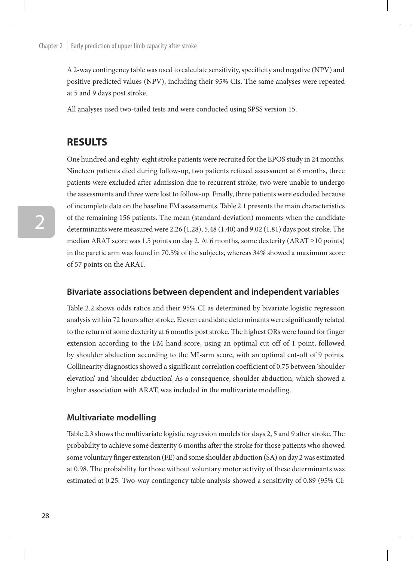A 2-way contingency table was used to calculate sensitivity, specificity and negative (NPV) and positive predicted values (NPV), including their 95% CIs. The same analyses were repeated at 5 and 9 days post stroke.

All analyses used two-tailed tests and were conducted using SPSS version 15.

# **RESULTS**

One hundred and eighty-eight stroke patients were recruited for the EPOS study in 24 months. Nineteen patients died during follow-up, two patients refused assessment at 6 months, three patients were excluded after admission due to recurrent stroke, two were unable to undergo the assessments and three were lost to follow-up. Finally, three patients were excluded because of incomplete data on the baseline FM assessments. Table 2.1 presents the main characteristics of the remaining 156 patients. The mean (standard deviation) moments when the candidate determinants were measured were 2.26 (1.28), 5.48 (1.40) and 9.02 (1.81) days post stroke. The median ARAT score was 1.5 points on day 2. At 6 months, some dexterity (ARAT ≥10 points) in the paretic arm was found in 70.5% of the subjects, whereas 34% showed a maximum score of 57 points on the ARAT.

### **Bivariate associations between dependent and independent variables**

Table 2.2 shows odds ratios and their 95% CI as determined by bivariate logistic regression analysis within 72 hours after stroke. Eleven candidate determinants were significantly related to the return of some dexterity at 6 months post stroke. The highest ORs were found for finger extension according to the FM-hand score, using an optimal cut-off of 1 point, followed by shoulder abduction according to the MI-arm score, with an optimal cut-off of 9 points. Collinearity diagnostics showed a significant correlation coefficient of 0.75 between 'shoulder elevation' and 'shoulder abduction'. As a consequence, shoulder abduction, which showed a higher association with ARAT, was included in the multivariate modelling.

#### **Multivariate modelling**

Table 2.3 shows the multivariate logistic regression models for days 2, 5 and 9 after stroke. The probability to achieve some dexterity 6 months after the stroke for those patients who showed some voluntary finger extension (FE) and some shoulder abduction (SA) on day 2 was estimated at 0.98. The probability for those without voluntary motor activity of these determinants was estimated at 0.25. Two-way contingency table analysis showed a sensitivity of 0.89 (95% CI: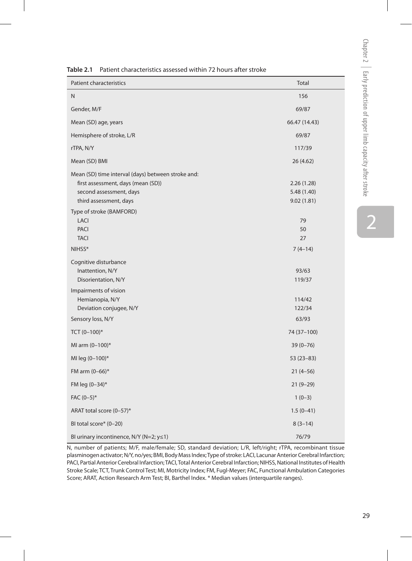| <b>Patient characteristics</b>                                                                                                                | Total                                   |
|-----------------------------------------------------------------------------------------------------------------------------------------------|-----------------------------------------|
| N                                                                                                                                             | 156                                     |
| Gender, M/F                                                                                                                                   | 69/87                                   |
| Mean (SD) age, years                                                                                                                          | 66.47 (14.43)                           |
| Hemisphere of stroke, L/R                                                                                                                     | 69/87                                   |
| rTPA, N/Y                                                                                                                                     | 117/39                                  |
| Mean (SD) BMI                                                                                                                                 | 26 (4.62)                               |
| Mean (SD) time interval (days) between stroke and:<br>first assessment, days (mean (SD))<br>second assessment, days<br>third assessment, days | 2.26(1.28)<br>5.48 (1.40)<br>9.02(1.81) |
| Type of stroke (BAMFORD)<br><b>LACI</b><br><b>PACI</b><br><b>TACI</b>                                                                         | 79<br>50<br>27                          |
| NIHSS*                                                                                                                                        | $7(4-14)$                               |
| Cognitive disturbance<br>Inattention, N/Y<br>Disorientation, N/Y                                                                              | 93/63<br>119/37                         |
| Impairments of vision<br>Hemianopia, N/Y<br>Deviation conjugee, N/Y                                                                           | 114/42<br>122/34                        |
| Sensory loss, N/Y                                                                                                                             | 63/93                                   |
| TCT $(0-100)^*$                                                                                                                               | 74 (37-100)                             |
| MI arm (0-100)*                                                                                                                               | $39(0 - 76)$                            |
| MI leg (0-100)*                                                                                                                               | $53(23-83)$                             |
| FM arm (0-66)*                                                                                                                                | $21(4-56)$                              |
| FM leg (0-34)*                                                                                                                                | $21(9-29)$                              |
| $FAC (0-5)*$                                                                                                                                  | $1(0-3)$                                |
| ARAT total score (0-57)*                                                                                                                      | $1.5(0-41)$                             |
| BI total score* (0-20)                                                                                                                        | $8(3-14)$                               |
| BI urinary incontinence, $N/Y$ ( $N=2$ ; $y \le 1$ )                                                                                          | 76/79                                   |

**Table 2.1** Patient characteristics assessed within 72 hours after stroke

N, number of patients; M/F, male/female; SD, standard deviation; L/R, left/right; rTPA, recombinant tissue plasminogen activator; N/Y, no/yes; BMI, Body Mass Index; Type of stroke: LACI, Lacunar Anterior Cerebral Infarction; PACI, Partial Anterior Cerebral Infarction; TACI, Total Anterior Cerebral Infarction; NIHSS, National Institutes of Health Stroke Scale; TCT, Trunk Control Test; MI, Motricity Index; FM, Fugl-Meyer; FAC, Functional Ambulation Categories Score; ARAT, Action Research Arm Test; BI, Barthel Index. \* Median values (interquartile ranges).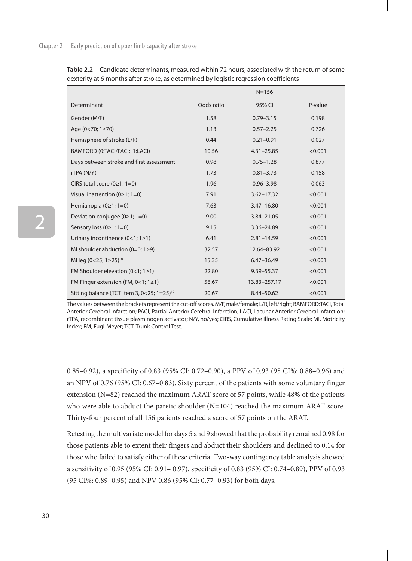|                                                                  |            | $N = 156$      |         |
|------------------------------------------------------------------|------------|----------------|---------|
| Determinant                                                      | Odds ratio | 95% CI         | P-value |
| Gender (M/F)                                                     | 1.58       | $0.79 - 3.15$  | 0.198   |
| Age $(0<70; 1 \ge 70)$                                           | 1.13       | $0.57 - 2.25$  | 0.726   |
| Hemisphere of stroke (L/R)                                       | 0.44       | $0.21 - 0.91$  | 0.027   |
| BAMFORD (0:TACI/PACI; 1:LACI)                                    | 10.56      | $4.31 - 25.85$ | < 0.001 |
| Days between stroke and first assessment                         | 0.98       | $0.75 - 1.28$  | 0.877   |
| rTPA (N/Y)                                                       | 1.73       | $0.81 - 3.73$  | 0.158   |
| CIRS total score $(0\ge 1; 1=0)$                                 | 1.96       | $0.96 - 3.98$  | 0.063   |
| Visual inattention ( $0 \ge 1$ ; 1=0)                            | 7.91       | $3.62 - 17.32$ | < 0.001 |
| Hemianopia $(0\ge 1; 1=0)$                                       | 7.63       | $3.47 - 16.80$ | < 0.001 |
| Deviation conjugee ( $0 \ge 1$ ; 1=0)                            | 9.00       | 3.84-21.05     | < 0.001 |
| Sensory loss (0≥1; 1=0)                                          | 9.15       | 3.36-24.89     | < 0.001 |
| Urinary incontinence $(0<1; 1\geq 1)$                            | 6.41       | $2.81 - 14.59$ | < 0.001 |
| MI shoulder abduction $(0=0; 1\geq 9)$                           | 32.57      | 12.64-83.92    | < 0.001 |
| MI leg (0<25; 1≥25) <sup>10</sup>                                | 15.35      | $6.47 - 36.49$ | < 0.001 |
| FM Shoulder elevation $(0<1; 1\ge 1)$                            | 22.80      | 9.39-55.37     | < 0.001 |
| FM Finger extension (FM, $0<1$ ; $1\geq 1$ )                     | 58.67      | 13.83-257.17   | < 0.001 |
| Sitting balance (TCT item 3, $0 < 25$ ; $1 = 25$ ) <sup>10</sup> | 20.67      | 8.44-50.62     | < 0.001 |

**Table 2.2** Candidate determinants, measured within 72 hours, associated with the return of some dexterity at 6 months after stroke, as determined by logistic regression coefficients

The values between the brackets represent the cut-off scores. M/F, male/female; L/R, left/right; BAMFORD:TACI, Total Anterior Cerebral Infarction; PACI, Partial Anterior Cerebral Infarction; LACI, Lacunar Anterior Cerebral Infarction; rTPA, recombinant tissue plasminogen activator; N/Y, no/yes; CIRS, Cumulative Illness Rating Scale; MI, Motricity Index; FM, Fugl-Meyer; TCT, Trunk Control Test.

0.85–0.92), a specificity of 0.83 (95% CI: 0.72–0.90), a PPV of 0.93 (95 CI%: 0.88–0.96) and an NPV of 0.76 (95% CI: 0.67–0.83). Sixty percent of the patients with some voluntary finger extension (N=82) reached the maximum ARAT score of 57 points, while 48% of the patients who were able to abduct the paretic shoulder (N=104) reached the maximum ARAT score. Thirty-four percent of all 156 patients reached a score of 57 points on the ARAT.

Retesting the multivariate model for days 5 and 9 showed that the probability remained 0.98 for those patients able to extent their fingers and abduct their shoulders and declined to 0.14 for those who failed to satisfy either of these criteria. Two-way contingency table analysis showed a sensitivity of 0.95 (95% CI: 0.91– 0.97), specificity of 0.83 (95% CI: 0.74–0.89), PPV of 0.93 (95 CI%: 0.89–0.95) and NPV 0.86 (95% CI: 0.77–0.93) for both days.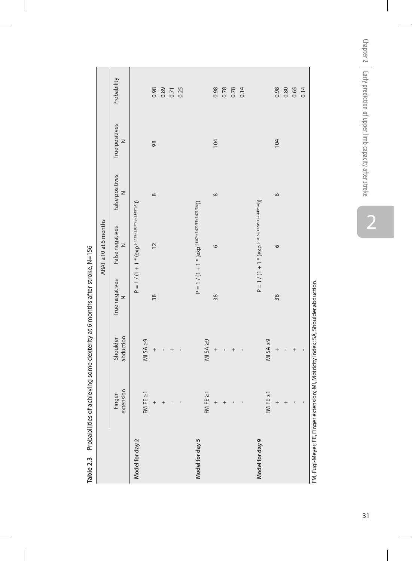|                                         | J                        |                                                                                                     |                          |                                                       |                      |                     |             |
|-----------------------------------------|--------------------------|-----------------------------------------------------------------------------------------------------|--------------------------|-------------------------------------------------------|----------------------|---------------------|-------------|
|                                         |                          |                                                                                                     |                          | ARAT 210 at 6 months                                  |                      |                     |             |
|                                         | extension<br>Finger      | abduction<br>Shoulder                                                                               | True negatives<br>$\geq$ | False negatives<br>z                                  | False positives<br>z | True positives<br>z | Probability |
| Model for day 2                         |                          |                                                                                                     |                          | $P = 1 / (1 + 1 * (eXp^{-1.119+2.807*EE+2.149*5A)}))$ |                      |                     |             |
|                                         | FE ≥1<br>FM              | $M$ SA $\geq$ 9                                                                                     |                          |                                                       |                      |                     |             |
|                                         | $^{+}$                   | $^{+}$                                                                                              | 38                       | $\overline{12}$                                       | $\infty$             | 98                  | 0.98        |
|                                         | $\overline{+}$           |                                                                                                     |                          |                                                       |                      |                     | 0.89        |
|                                         | $\mathbf{I}$             | $^{+}$                                                                                              |                          |                                                       |                      |                     | 0.71        |
|                                         | $\mathbf{I}$             |                                                                                                     |                          |                                                       |                      |                     | 0.25        |
|                                         |                          |                                                                                                     |                          |                                                       |                      |                     |             |
| Model for day 5                         |                          |                                                                                                     |                          | $P = 1 / (1 + 1 * (exp-1.874+3.070*EF+3.075*SM))$     |                      |                     |             |
|                                         | $FE \geq 1$<br>FM        | $MISA \geq 9$                                                                                       |                          |                                                       |                      |                     |             |
|                                         | $\ddot{}$                | $^{+}$                                                                                              | 38                       | 9                                                     | $\infty$             | 104                 | 0.98        |
|                                         | $\overline{+}$           | ı                                                                                                   |                          |                                                       |                      |                     | 0.78        |
|                                         | ı                        | $^{+}$                                                                                              |                          |                                                       |                      |                     | 0.78        |
|                                         | $\mathbf{I}$             |                                                                                                     |                          |                                                       |                      |                     | 0.14        |
| Model for day 9                         |                          |                                                                                                     |                          | $P = 1 / (1 + 1 * (eXp^{-1.1815+3.224*FE+2.449*SA}))$ |                      |                     |             |
|                                         | FE ≥1<br>FM              | $MISA \geq 9$                                                                                       |                          |                                                       |                      |                     |             |
|                                         |                          | $^{+}$                                                                                              | 38                       | $\circ$                                               | $\infty$             | 104                 | 0.98        |
|                                         |                          |                                                                                                     |                          |                                                       |                      |                     | 0.80        |
|                                         | I                        | $^{+}$                                                                                              |                          |                                                       |                      |                     | 0.65        |
|                                         | $\overline{\phantom{a}}$ |                                                                                                     |                          |                                                       |                      |                     | 0.14        |
| $M \nightharpoonup M$ More EE Eindicate |                          | codifficion complication of the light codiffication of the light codiffication of the light codific |                          |                                                       |                      |                     |             |

Table 2.3 Probabilities of achieving some dexterity at 6 months after stroke, N=156 **Table 2.3** Probabilities of achieving some dexterity at 6 months after stroke, N=156

FM, Fugl-Meyer; FE, Finger extension; Motricity Index; SA, Shoulder abduction. FM, Fugl-Meyer; FE, Finger extension; MI, Motricity Index; SA, Shoulder abduction.

Chapter 2 | Early prediction of upper limb capacity after stroke Chapter 2  $\; \mid \;$  Early prediction of upper limb capacity after stroke

 $\overline{a}$ 

2<br>31  $31$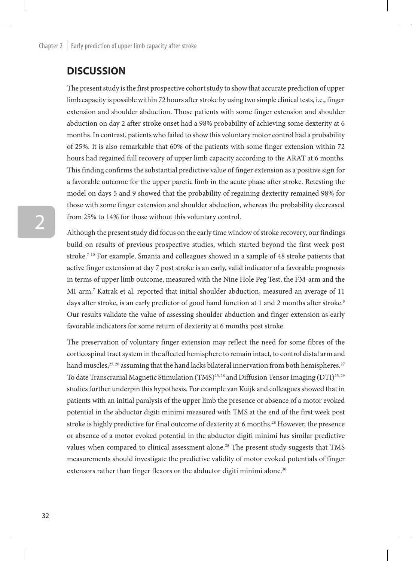## **DISCUSSION**

The present study is the first prospective cohort study to show that accurate prediction of upper limb capacity is possible within 72 hours after stroke by using two simple clinical tests, i.e., finger extension and shoulder abduction. Those patients with some finger extension and shoulder abduction on day 2 after stroke onset had a 98% probability of achieving some dexterity at 6 months. In contrast, patients who failed to show this voluntary motor control had a probability of 25%. It is also remarkable that 60% of the patients with some finger extension within 72 hours had regained full recovery of upper limb capacity according to the ARAT at 6 months. This finding confirms the substantial predictive value of finger extension as a positive sign for a favorable outcome for the upper paretic limb in the acute phase after stroke. Retesting the model on days 5 and 9 showed that the probability of regaining dexterity remained 98% for those with some finger extension and shoulder abduction, whereas the probability decreased from 25% to 14% for those without this voluntary control.

Although the present study did focus on the early time window of stroke recovery, our findings build on results of previous prospective studies, which started beyond the first week post stroke.7-10 For example, Smania and colleagues showed in a sample of 48 stroke patients that active finger extension at day 7 post stroke is an early, valid indicator of a favorable prognosis in terms of upper limb outcome, measured with the Nine Hole Peg Test, the FM-arm and the MI-arm.7 Katrak et al. reported that initial shoulder abduction, measured an average of 11 days after stroke, is an early predictor of good hand function at 1 and 2 months after stroke.<sup>8</sup> Our results validate the value of assessing shoulder abduction and finger extension as early favorable indicators for some return of dexterity at 6 months post stroke.

The preservation of voluntary finger extension may reflect the need for some fibres of the corticospinal tract system in the affected hemisphere to remain intact, to control distal arm and hand muscles,  $25, 26$  assuming that the hand lacks bilateral innervation from both hemispheres.<sup>27</sup> To date Transcranial Magnetic Stimulation (TMS)<sup>25, 28</sup> and Diffusion Tensor Imaging (DTI)<sup>25, 29</sup> studies further underpin this hypothesis. For example van Kuijk and colleagues showed that in patients with an initial paralysis of the upper limb the presence or absence of a motor evoked potential in the abductor digiti minimi measured with TMS at the end of the first week post stroke is highly predictive for final outcome of dexterity at 6 months.<sup>28</sup> However, the presence or absence of a motor evoked potential in the abductor digiti minimi has similar predictive values when compared to clinical assessment alone.<sup>28</sup> The present study suggests that TMS measurements should investigate the predictive validity of motor evoked potentials of finger extensors rather than finger flexors or the abductor digiti minimi alone.<sup>30</sup>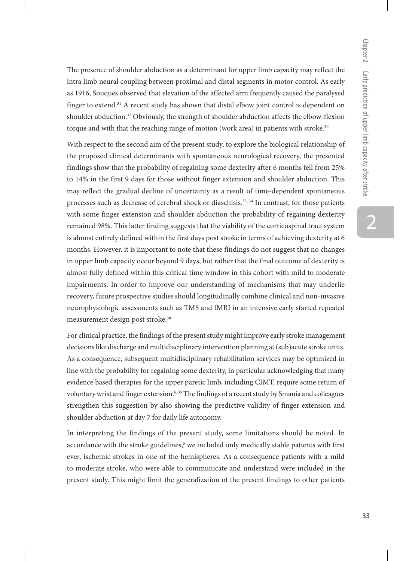The presence of shoulder abduction as a determinant for upper limb capacity may reflect the intra limb neural coupling between proximal and distal segments in motor control. As early as 1916, Souques observed that elevation of the affected arm frequently caused the paralysed finger to extend.<sup>31</sup> A recent study has shown that distal elbow joint control is dependent on shoulder abduction.<sup>32</sup> Obviously, the strength of shoulder abduction affects the elbow-flexion torque and with that the reaching range of motion (work area) in patients with stroke.<sup>30</sup>

With respect to the second aim of the present study, to explore the biological relationship of the proposed clinical determinants with spontaneous neurological recovery, the presented findings show that the probability of regaining some dexterity after 6 months fell from 25% to 14% in the first 9 days for those without finger extension and shoulder abduction. This may reflect the gradual decline of uncertainty as a result of time-dependent spontaneous processes such as decrease of cerebral shock or diaschisis.33, 34 In contrast, for those patients with some finger extension and shoulder abduction the probability of regaining dexterity remained 98%. This latter finding suggests that the viability of the corticospinal tract system is almost entirely defined within the first days post stroke in terms of achieving dexterity at 6 months. However, it is important to note that these findings do not suggest that no changes in upper limb capacity occur beyond 9 days, but rather that the final outcome of dexterity is almost fully defined within this critical time window in this cohort with mild to moderate impairments. In order to improve our understanding of mechanisms that may underlie recovery, future prospective studies should longitudinally combine clinical and non-invasive neurophysiologic assessments such as TMS and fMRI in an intensive early started repeated measurement design post stroke.30

For clinical practice, the findings of the present study might improve early stroke management decisions like discharge and multidisciplinary intervention planning at (sub)acute stroke units. As a consequence, subsequent multidisciplinary rehabilitation services may be optimized in line with the probability for regaining some dexterity, in particular acknowledging that many evidence based therapies for the upper paretic limb, including CIMT, require some return of voluntary wrist and finger extension.<sup>6, 35</sup> The findings of a recent study by Smania and colleagues strengthen this suggestion by also showing the predictive validity of finger extension and shoulder abduction at day 7 for daily life autonomy.

In interpreting the findings of the present study, some limitations should be noted. In accordance with the stroke guidelines,<sup>5</sup> we included only medically stable patients with first ever, ischemic strokes in one of the hemispheres. As a consequence patients with a mild to moderate stroke, who were able to communicate and understand were included in the present study. This might limit the generalization of the present findings to other patients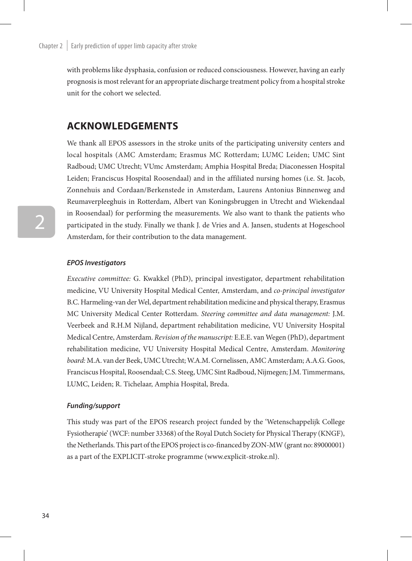with problems like dysphasia, confusion or reduced consciousness. However, having an early prognosis is most relevant for an appropriate discharge treatment policy from a hospital stroke unit for the cohort we selected.

## **Acknowledgements**

We thank all EPOS assessors in the stroke units of the participating university centers and local hospitals (AMC Amsterdam; Erasmus MC Rotterdam; LUMC Leiden; UMC Sint Radboud; UMC Utrecht; VUmc Amsterdam; Amphia Hospital Breda; Diaconessen Hospital Leiden; Franciscus Hospital Roosendaal) and in the affiliated nursing homes (i.e. St. Jacob, Zonnehuis and Cordaan/Berkenstede in Amsterdam, Laurens Antonius Binnenweg and Reumaverpleeghuis in Rotterdam, Albert van Koningsbruggen in Utrecht and Wiekendaal in Roosendaal) for performing the measurements. We also want to thank the patients who participated in the study. Finally we thank J. de Vries and A. Jansen, students at Hogeschool Amsterdam, for their contribution to the data management.

#### *EPOS Investigators*

*Executive committee:* G. Kwakkel (PhD), principal investigator, department rehabilitation medicine, VU University Hospital Medical Center, Amsterdam, and *co-principal investigator*  B.C. Harmeling-van der Wel, department rehabilitation medicine and physical therapy, Erasmus MC University Medical Center Rotterdam. *Steering committee and data management:* J.M. Veerbeek and R.H.M Nijland, department rehabilitation medicine, VU University Hospital Medical Centre, Amsterdam. *Revision of the manuscript:* E.E.E. van Wegen (PhD), department rehabilitation medicine, VU University Hospital Medical Centre, Amsterdam. *Monitoring board:* M.A. van der Beek, UMC Utrecht; W.A.M. Cornelissen, AMC Amsterdam; A.A.G. Goos, Franciscus Hospital, Roosendaal; C.S. Steeg, UMC Sint Radboud, Nijmegen; J.M. Timmermans, LUMC, Leiden; R. Tichelaar, Amphia Hospital, Breda.

#### *Funding/support*

This study was part of the EPOS research project funded by the 'Wetenschappelijk College Fysiotherapie' (WCF: number 33368) of the Royal Dutch Society for Physical Therapy (KNGF), the Netherlands. This part of the EPOS project is co-financed by ZON-MW (grant no: 89000001) as a part of the EXPLICIT-stroke programme (www.explicit-stroke.nl).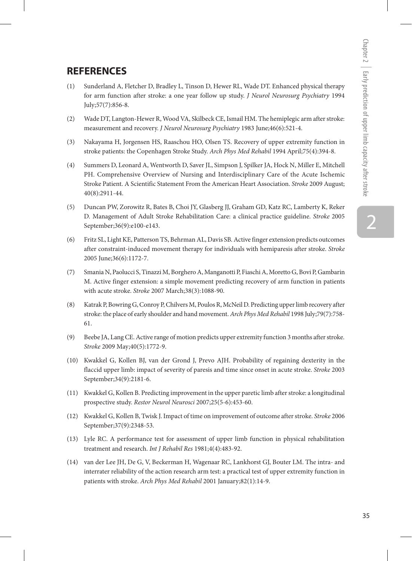## **REFERENCES**

- (1) Sunderland A, Fletcher D, Bradley L, Tinson D, Hewer RL, Wade DT. Enhanced physical therapy for arm function after stroke: a one year follow up study. *J Neurol Neurosurg Psychiatry* 1994 July;57(7):856-8.
- (2) Wade DT, Langton-Hewer R, Wood VA, Skilbeck CE, Ismail HM. The hemiplegic arm after stroke: measurement and recovery. *J Neurol Neurosurg Psychiatry* 1983 June;46(6):521-4.
- (3) Nakayama H, Jorgensen HS, Raaschou HO, Olsen TS. Recovery of upper extremity function in stroke patients: the Copenhagen Stroke Study. *Arch Phys Med Rehabil* 1994 April;75(4):394-8.
- (4) Summers D, Leonard A, Wentworth D, Saver JL, Simpson J, Spilker JA, Hock N, Miller E, Mitchell PH. Comprehensive Overview of Nursing and Interdisciplinary Care of the Acute Ischemic Stroke Patient. A Scientific Statement From the American Heart Association. *Stroke* 2009 August; 40(8):2911-44.
- (5) Duncan PW, Zorowitz R, Bates B, Choi JY, Glasberg JJ, Graham GD, Katz RC, Lamberty K, Reker D. Management of Adult Stroke Rehabilitation Care: a clinical practice guideline. *Stroke* 2005 September;36(9):e100-e143.
- (6) Fritz SL, Light KE, Patterson TS, Behrman AL, Davis SB. Active finger extension predicts outcomes after constraint-induced movement therapy for individuals with hemiparesis after stroke. *Stroke* 2005 June;36(6):1172-7.
- (7) Smania N, Paolucci S, Tinazzi M, Borghero A, Manganotti P, Fiaschi A, Moretto G, Bovi P, Gambarin M. Active finger extension: a simple movement predicting recovery of arm function in patients with acute stroke. *Stroke* 2007 March;38(3):1088-90.
- (8) Katrak P, Bowring G, Conroy P, Chilvers M, Poulos R, McNeil D. Predicting upper limb recovery after stroke: the place of early shoulder and hand movement. *Arch Phys Med Rehabil* 1998 July;79(7):758- 61.
- (9) Beebe JA, Lang CE. Active range of motion predicts upper extremity function 3 months after stroke. *Stroke* 2009 May;40(5):1772-9.
- (10) Kwakkel G, Kollen BJ, van der Grond J, Prevo AJH. Probability of regaining dexterity in the flaccid upper limb: impact of severity of paresis and time since onset in acute stroke. *Stroke* 2003 September;34(9):2181-6.
- (11) Kwakkel G, Kollen B. Predicting improvement in the upper paretic limb after stroke: a longitudinal prospective study. *Restor Neurol Neurosci* 2007;25(5-6):453-60.
- (12) Kwakkel G, Kollen B, Twisk J. Impact of time on improvement of outcome after stroke. *Stroke* 2006 September;37(9):2348-53.
- (13) Lyle RC. A performance test for assessment of upper limb function in physical rehabilitation treatment and research. *Int J Rehabil Res* 1981;4(4):483-92.
- (14) van der Lee JH, De G, V, Beckerman H, Wagenaar RC, Lankhorst GJ, Bouter LM. The intra- and interrater reliability of the action research arm test: a practical test of upper extremity function in patients with stroke. *Arch Phys Med Rehabil* 2001 January;82(1):14-9.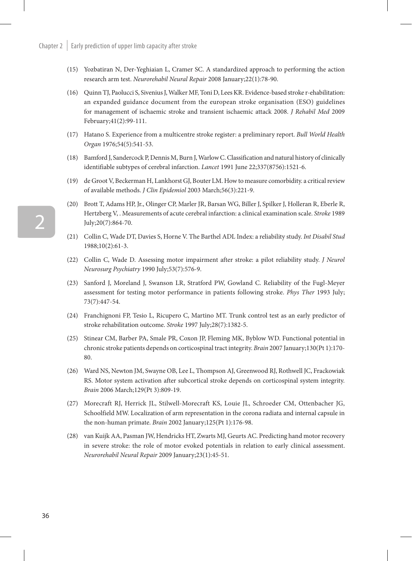- (15) Yozbatiran N, Der-Yeghiaian L, Cramer SC. A standardized approach to performing the action research arm test. *Neurorehabil Neural Repair* 2008 January;22(1):78-90.
- (16) Quinn TJ, Paolucci S, Sivenius J, Walker MF, Toni D, Lees KR. Evidence-based stroke r-ehabilitation: an expanded guidance document from the european stroke organisation (ESO) guidelines for management of ischaemic stroke and transient ischaemic attack 2008. *J Rehabil Med* 2009 February;41(2):99-111.
- (17) Hatano S. Experience from a multicentre stroke register: a preliminary report. *Bull World Health Organ* 1976;54(5):541-53.
- (18) Bamford J, Sandercock P, Dennis M, Burn J, Warlow C. Classification and natural history of clinically identifiable subtypes of cerebral infarction. *Lancet* 1991 June 22;337(8756):1521-6.
- (19) de Groot V, Beckerman H, Lankhorst GJ, Bouter LM. How to measure comorbidity. a critical review of available methods. *J Clin Epidemiol* 2003 March;56(3):221-9.
- (20) Brott T, Adams HP, Jr., Olinger CP, Marler JR, Barsan WG, Biller J, Spilker J, Holleran R, Eberle R, Hertzberg V, . Measurements of acute cerebral infarction: a clinical examination scale. *Stroke* 1989 July;20(7):864-70.
- (21) Collin C, Wade DT, Davies S, Horne V. The Barthel ADL Index: a reliability study. *Int Disabil Stud*  1988;10(2):61-3.
- (22) Collin C, Wade D. Assessing motor impairment after stroke: a pilot reliability study. *J Neurol Neurosurg Psychiatry* 1990 July;53(7):576-9.
- (23) Sanford J, Moreland J, Swanson LR, Stratford PW, Gowland C. Reliability of the Fugl-Meyer assessment for testing motor performance in patients following stroke. *Phys Ther* 1993 July; 73(7):447-54.
- (24) Franchignoni FP, Tesio L, Ricupero C, Martino MT. Trunk control test as an early predictor of stroke rehabilitation outcome. *Stroke* 1997 July;28(7):1382-5.
- (25) Stinear CM, Barber PA, Smale PR, Coxon JP, Fleming MK, Byblow WD. Functional potential in chronic stroke patients depends on corticospinal tract integrity. *Brain* 2007 January;130(Pt 1):170- 80.
- (26) Ward NS, Newton JM, Swayne OB, Lee L, Thompson AJ, Greenwood RJ, Rothwell JC, Frackowiak RS. Motor system activation after subcortical stroke depends on corticospinal system integrity. *Brain* 2006 March;129(Pt 3):809-19.
- (27) Morecraft RJ, Herrick JL, Stilwell-Morecraft KS, Louie JL, Schroeder CM, Ottenbacher JG, Schoolfield MW. Localization of arm representation in the corona radiata and internal capsule in the non-human primate. *Brain* 2002 January;125(Pt 1):176-98.
- (28) van Kuijk AA, Pasman JW, Hendricks HT, Zwarts MJ, Geurts AC. Predicting hand motor recovery in severe stroke: the role of motor evoked potentials in relation to early clinical assessment. *Neurorehabil Neural Repair* 2009 January;23(1):45-51.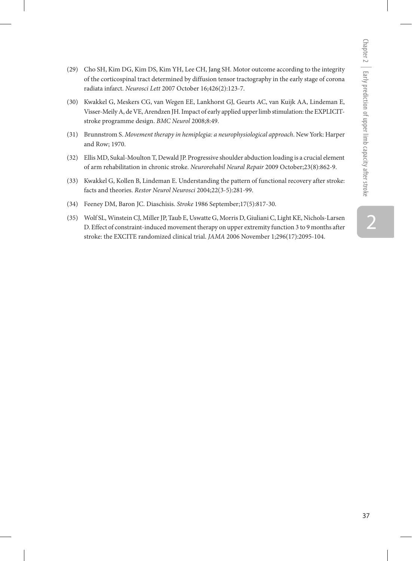- (29) Cho SH, Kim DG, Kim DS, Kim YH, Lee CH, Jang SH. Motor outcome according to the integrity of the corticospinal tract determined by diffusion tensor tractography in the early stage of corona radiata infarct. *Neurosci Lett* 2007 October 16;426(2):123-7.
- (30) Kwakkel G, Meskers CG, van Wegen EE, Lankhorst GJ, Geurts AC, van Kuijk AA, Lindeman E, Visser-Meily A, de VE, Arendzen JH. Impact of early applied upper limb stimulation: the EXPLICITstroke programme design. *BMC Neurol* 2008;8:49.
- (31) Brunnstrom S. *Movement therapy in hemiplegia: a neurophysiological approach*. New York: Harper and Row; 1970.
- (32) Ellis MD, Sukal-Moulton T, Dewald JP. Progressive shoulder abduction loading is a crucial element of arm rehabilitation in chronic stroke. *Neurorehabil Neural Repair* 2009 October;23(8):862-9.
- (33) Kwakkel G, Kollen B, Lindeman E. Understanding the pattern of functional recovery after stroke: facts and theories. *Restor Neurol Neurosci* 2004;22(3-5):281-99.
- (34) Feeney DM, Baron JC. Diaschisis. *Stroke* 1986 September;17(5):817-30.
- (35) Wolf SL, Winstein CJ, Miller JP, Taub E, Uswatte G, Morris D, Giuliani C, Light KE, Nichols-Larsen D. Effect of constraint-induced movement therapy on upper extremity function 3 to 9 months after stroke: the EXCITE randomized clinical trial. *JAMA* 2006 November 1;296(17):2095-104.